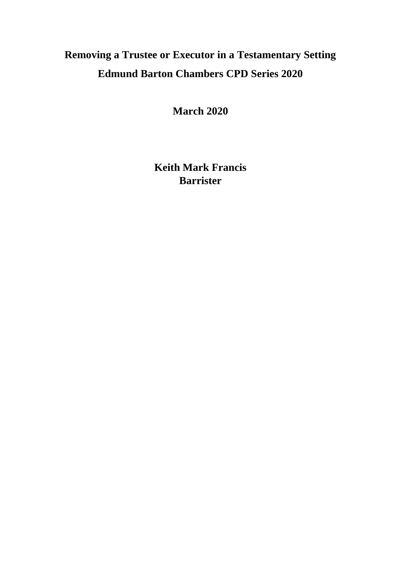# **Removing a Trustee or Executor in a Testamentary Setting Edmund Barton Chambers CPD Series 2020**

**March 2020**

**Keith Mark Francis Barrister**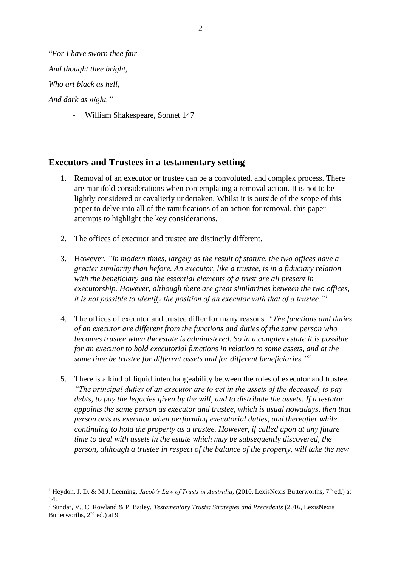"*For I have sworn thee fair* 

*And thought thee bright,*

*Who art black as hell,*

*And dark as night."*

- William Shakespeare, Sonnet 147

# **Executors and Trustees in a testamentary setting**

- 1. Removal of an executor or trustee can be a convoluted, and complex process. There are manifold considerations when contemplating a removal action. It is not to be lightly considered or cavalierly undertaken. Whilst it is outside of the scope of this paper to delve into all of the ramifications of an action for removal, this paper attempts to highlight the key considerations.
- 2. The offices of executor and trustee are distinctly different.
- 3. However, *"in modern times, largely as the result of statute, the two offices have a greater similarity than before. An executor, like a trustee, is in a fiduciary relation with the beneficiary and the essential elements of a trust are all present in executorship. However, although there are great similarities between the two offices, it is not possible to identify the position of an executor with that of a trustee."<sup>1</sup>*
- 4. The offices of executor and trustee differ for many reasons. *"The functions and duties of an executor are different from the functions and duties of the same person who becomes trustee when the estate is administered. So in a complex estate it is possible for an executor to hold executorial functions in relation to some assets, and at the same time be trustee for different assets and for different beneficiaries."<sup>2</sup>*
- 5. There is a kind of liquid interchangeability between the roles of executor and trustee. *"The principal duties of an executor are to get in the assets of the deceased, to pay debts, to pay the legacies given by the will, and to distribute the assets. If a testator appoints the same person as executor and trustee, which is usual nowadays, then that person acts as executor when performing executorial duties, and thereafter while continuing to hold the property as a trustee. However, if called upon at any future time to deal with assets in the estate which may be subsequently discovered, the person, although a trustee in respect of the balance of the property, will take the new*

<sup>&</sup>lt;sup>1</sup> Heydon, J. D. & M.J. Leeming, *Jacob's Law of Trusts in Australia*, (2010, LexisNexis Butterworths, 7<sup>th</sup> ed.) at 34.

<sup>2</sup> Sundar, V., C. Rowland & P. Bailey, *Testamentary Trusts: Strategies and Precedents* (2016, LexisNexis Butterworths,  $2<sup>nd</sup>$  ed.) at 9.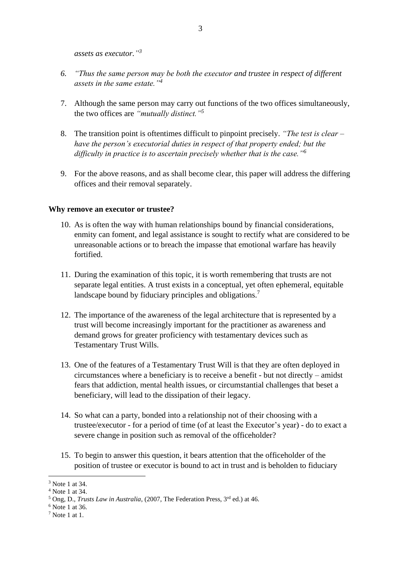*assets as executor." 3*

- *6. "Thus the same person may be both the executor and trustee in respect of different assets in the same estate."<sup>4</sup>*
- 7. Although the same person may carry out functions of the two offices simultaneously, the two offices are *"mutually distinct."<sup>5</sup>*
- 8. The transition point is oftentimes difficult to pinpoint precisely. *"The test is clear – have the person's executorial duties in respect of that property ended; but the difficulty in practice is to ascertain precisely whether that is the case."<sup>6</sup>*
- 9. For the above reasons, and as shall become clear, this paper will address the differing offices and their removal separately.

#### **Why remove an executor or trustee?**

- 10. As is often the way with human relationships bound by financial considerations, enmity can foment, and legal assistance is sought to rectify what are considered to be unreasonable actions or to breach the impasse that emotional warfare has heavily fortified.
- 11. During the examination of this topic, it is worth remembering that trusts are not separate legal entities. A trust exists in a conceptual, yet often ephemeral, equitable landscape bound by fiduciary principles and obligations.<sup>7</sup>
- 12. The importance of the awareness of the legal architecture that is represented by a trust will become increasingly important for the practitioner as awareness and demand grows for greater proficiency with testamentary devices such as Testamentary Trust Wills.
- 13. One of the features of a Testamentary Trust Will is that they are often deployed in circumstances where a beneficiary is to receive a benefit - but not directly – amidst fears that addiction, mental health issues, or circumstantial challenges that beset a beneficiary, will lead to the dissipation of their legacy.
- 14. So what can a party, bonded into a relationship not of their choosing with a trustee/executor - for a period of time (of at least the Executor's year) - do to exact a severe change in position such as removal of the officeholder?
- 15. To begin to answer this question, it bears attention that the officeholder of the position of trustee or executor is bound to act in trust and is beholden to fiduciary

<sup>3</sup> Note 1 at 34.

<sup>4</sup> Note 1 at 34.

<sup>5</sup> Ong, D., *Trusts Law in Australia*, (2007, The Federation Press, 3rd ed.) at 46.

 $6$  Note 1 at 36.

<sup>7</sup> Note 1 at 1.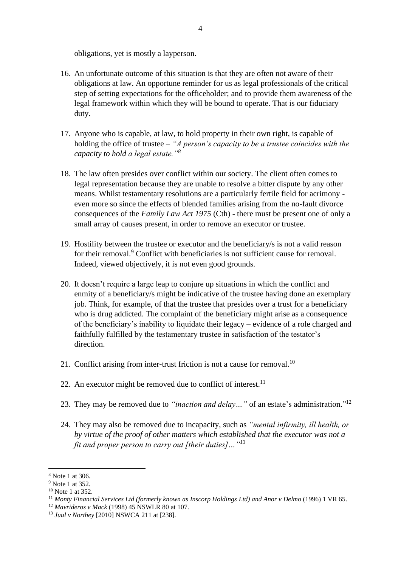obligations, yet is mostly a layperson.

- 16. An unfortunate outcome of this situation is that they are often not aware of their obligations at law. An opportune reminder for us as legal professionals of the critical step of setting expectations for the officeholder; and to provide them awareness of the legal framework within which they will be bound to operate. That is our fiduciary duty.
- 17. Anyone who is capable, at law, to hold property in their own right, is capable of holding the office of trustee – *"A person's capacity to be a trustee coincides with the capacity to hold a legal estate."<sup>8</sup>*
- 18. The law often presides over conflict within our society. The client often comes to legal representation because they are unable to resolve a bitter dispute by any other means. Whilst testamentary resolutions are a particularly fertile field for acrimony even more so since the effects of blended families arising from the no-fault divorce consequences of the *Family Law Act 1975* (Cth) - there must be present one of only a small array of causes present, in order to remove an executor or trustee.
- 19. Hostility between the trustee or executor and the beneficiary/s is not a valid reason for their removal.<sup>9</sup> Conflict with beneficiaries is not sufficient cause for removal. Indeed, viewed objectively, it is not even good grounds.
- 20. It doesn't require a large leap to conjure up situations in which the conflict and enmity of a beneficiary/s might be indicative of the trustee having done an exemplary job. Think, for example, of that the trustee that presides over a trust for a beneficiary who is drug addicted. The complaint of the beneficiary might arise as a consequence of the beneficiary's inability to liquidate their legacy – evidence of a role charged and faithfully fulfilled by the testamentary trustee in satisfaction of the testator's direction.
- 21. Conflict arising from inter-trust friction is not a cause for removal.<sup>10</sup>
- 22. An executor might be removed due to conflict of interest.<sup>11</sup>
- 23. They may be removed due to *"inaction and delay…"* of an estate's administration." 12
- 24. They may also be removed due to incapacity, such as *"mental infirmity, ill health, or by virtue of the proof of other matters which established that the executor was not a fit and proper person to carry out [their duties]…"<sup>13</sup>*

<sup>8</sup> Note 1 at 306.

<sup>9</sup> Note 1 at 352.

<sup>&</sup>lt;sup>10</sup> Note 1 at 352.

<sup>11</sup> *Monty Financial Services Ltd (formerly known as Inscorp Holdings Ltd) and Anor v Delmo* (1996) 1 VR 65.

<sup>12</sup> *Mavrideros v Mack* (1998) 45 NSWLR 80 at 107.

<sup>13</sup> *Juul v Northey* [2010] NSWCA 211 at [238].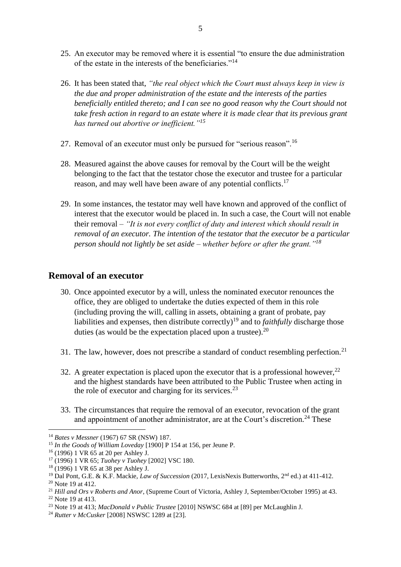- 25. An executor may be removed where it is essential "to ensure the due administration of the estate in the interests of the beneficiaries."<sup>14</sup>
- 26. It has been stated that, *"the real object which the Court must always keep in view is the due and proper administration of the estate and the interests of the parties beneficially entitled thereto; and I can see no good reason why the Court should not take fresh action in regard to an estate where it is made clear that its previous grant has turned out abortive or inefficient."<sup>15</sup>*
- 27. Removal of an executor must only be pursued for "serious reason".<sup>16</sup>
- 28. Measured against the above causes for removal by the Court will be the weight belonging to the fact that the testator chose the executor and trustee for a particular reason, and may well have been aware of any potential conflicts.<sup>17</sup>
- 29. In some instances, the testator may well have known and approved of the conflict of interest that the executor would be placed in. In such a case, the Court will not enable their removal – *"It is not every conflict of duty and interest which should result in removal of an executor. The intention of the testator that the executor be a particular person should not lightly be set aside – whether before or after the grant."<sup>18</sup>*

## **Removal of an executor**

- 30. Once appointed executor by a will, unless the nominated executor renounces the office, they are obliged to undertake the duties expected of them in this role (including proving the will, calling in assets, obtaining a grant of probate, pay liabilities and expenses, then distribute correctly)<sup>19</sup> and to *faithfully* discharge those duties (as would be the expectation placed upon a trustee). $^{20}$
- 31. The law, however, does not prescribe a standard of conduct resembling perfection.<sup>21</sup>
- 32. A greater expectation is placed upon the executor that is a professional however.<sup>22</sup> and the highest standards have been attributed to the Public Trustee when acting in the role of executor and charging for its services.<sup>23</sup>
- 33. The circumstances that require the removal of an executor, revocation of the grant and appointment of another administrator, are at the Court's discretion.<sup>24</sup> These

<sup>14</sup> *Bates v Messner* (1967) 67 SR (NSW) 187.

<sup>15</sup> *In the Goods of William Loveday* [1900] P 154 at 156, per Jeune P.

<sup>16</sup> (1996) 1 VR 65 at 20 per Ashley J.

<sup>17</sup> (1996) 1 VR 65; *Tuohey v Tuohey* [2002] VSC 180.

<sup>18</sup> (1996) 1 VR 65 at 38 per Ashley J.

<sup>&</sup>lt;sup>19</sup> Dal Pont, G.E. & K.F. Mackie, *Law of Succession* (2017, LexisNexis Butterworths, 2<sup>nd</sup> ed.) at 411-412.

<sup>20</sup> Note 19 at 412.

<sup>21</sup> *Hill and Ors v Roberts and Anor*, (Supreme Court of Victoria, Ashley J, September/October 1995) at 43. <sup>22</sup> Note 19 at 413.

<sup>23</sup> Note 19 at 413; *MacDonald v Public Trustee* [2010] NSWSC 684 at [89] per McLaughlin J.

<sup>24</sup> *Rutter v McCusker* [2008] NSWSC 1289 at [23].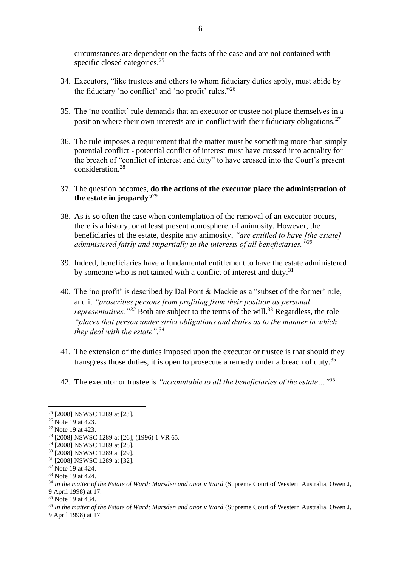circumstances are dependent on the facts of the case and are not contained with specific closed categories.<sup>25</sup>

- 34. Executors, "like trustees and others to whom fiduciary duties apply, must abide by the fiduciary 'no conflict' and 'no profit' rules."<sup>26</sup>
- 35. The 'no conflict' rule demands that an executor or trustee not place themselves in a position where their own interests are in conflict with their fiduciary obligations.<sup>27</sup>
- 36. The rule imposes a requirement that the matter must be something more than simply potential conflict - potential conflict of interest must have crossed into actuality for the breach of "conflict of interest and duty" to have crossed into the Court's present consideration<sup>28</sup>
- 37. The question becomes, **do the actions of the executor place the administration of the estate in jeopardy**? 29
- 38. As is so often the case when contemplation of the removal of an executor occurs, there is a history, or at least present atmosphere, of animosity. However, the beneficiaries of the estate, despite any animosity, *"are entitled to have [the estate] administered fairly and impartially in the interests of all beneficiaries."<sup>30</sup>*
- 39. Indeed, beneficiaries have a fundamental entitlement to have the estate administered by someone who is not tainted with a conflict of interest and duty.<sup>31</sup>
- 40. The 'no profit' is described by Dal Pont & Mackie as a "subset of the former' rule, and it *"proscribes persons from profiting from their position as personal representatives."<sup>32</sup>* Both are subject to the terms of the will.<sup>33</sup> Regardless, the role *"places that person under strict obligations and duties as to the manner in which they deal with the estate".<sup>34</sup>*
- 41. The extension of the duties imposed upon the executor or trustee is that should they transgress those duties, it is open to prosecute a remedy under a breach of duty.<sup>35</sup>
- 42. The executor or trustee is *"accountable to all the beneficiaries of the estate…"<sup>36</sup>*

<sup>25</sup> [2008] NSWSC 1289 at [23].

<sup>&</sup>lt;sup>26</sup> Note 19 at 423.

<sup>&</sup>lt;sup>27</sup> Note 19 at 423.

<sup>&</sup>lt;sup>28</sup> [2008] NSWSC 1289 at [26]; (1996) 1 VR 65.

<sup>&</sup>lt;sup>29</sup> [2008] NSWSC 1289 at [28].

<sup>30</sup> [2008] NSWSC 1289 at [29].

<sup>&</sup>lt;sup>31</sup> [2008] NSWSC 1289 at [32].

<sup>&</sup>lt;sup>32</sup> Note 19 at 424.

<sup>33</sup> Note 19 at 424.

<sup>34</sup> *In the matter of the Estate of Ward; Marsden and anor v Ward* (Supreme Court of Western Australia, Owen J, 9 April 1998) at 17.

<sup>&</sup>lt;sup>35</sup> Note 19 at 434.

<sup>36</sup> *In the matter of the Estate of Ward; Marsden and anor v Ward* (Supreme Court of Western Australia, Owen J, 9 April 1998) at 17.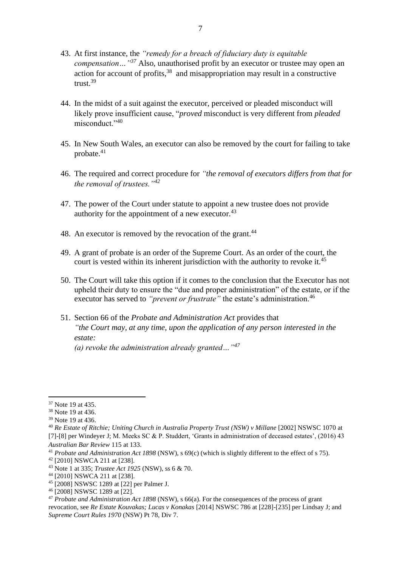- 43. At first instance, the *"remedy for a breach of fiduciary duty is equitable compensation…"<sup>37</sup>* Also, unauthorised profit by an executor or trustee may open an action for account of profits, <sup>38</sup> and misappropriation may result in a constructive trust.<sup>39</sup>
- 44. In the midst of a suit against the executor, perceived or pleaded misconduct will likely prove insufficient cause, "*proved* misconduct is very different from *pleaded*  misconduct<sup>"40</sup>
- 45. In New South Wales, an executor can also be removed by the court for failing to take probate.<sup>41</sup>
- 46. The required and correct procedure for *"the removal of executors differs from that for the removal of trustees."<sup>42</sup>*
- 47. The power of the Court under statute to appoint a new trustee does not provide authority for the appointment of a new executor.<sup>43</sup>
- 48. An executor is removed by the revocation of the grant.<sup>44</sup>
- 49. A grant of probate is an order of the Supreme Court. As an order of the court, the court is vested within its inherent jurisdiction with the authority to revoke it.<sup>45</sup>
- 50. The Court will take this option if it comes to the conclusion that the Executor has not upheld their duty to ensure the "due and proper administration" of the estate, or if the executor has served to *"prevent or frustrate"* the estate's administration.<sup>46</sup>
- 51. Section 66 of the *Probate and Administration Act* provides that *"the Court may, at any time, upon the application of any person interested in the estate:*

*(a) revoke the administration already granted…"<sup>47</sup>*

<sup>&</sup>lt;sup>37</sup> Note 19 at 435.

<sup>38</sup> Note 19 at 436.

<sup>39</sup> Note 19 at 436.

<sup>40</sup> *Re Estate of Ritchie; Uniting Church in Australia Property Trust (NSW) v Millane* [2002] NSWSC 1070 at [7]-[8] per Windeyer J; M. Meeks SC & P. Studdert, 'Grants in administration of deceased estates', (2016) 43 *Australian Bar Review* 115 at 133.

<sup>41</sup> *Probate and Administration Act 1898* (NSW), s 69(c) (which is slightly different to the effect of s 75).

<sup>42</sup> [2010] NSWCA 211 at [238].

<sup>43</sup> Note 1 at 335; *Trustee Act 1925* (NSW), ss 6 & 70.

<sup>44</sup> [2010] NSWCA 211 at [238].

<sup>45</sup> [2008] NSWSC 1289 at [22] per Palmer J.

<sup>46</sup> [2008] NSWSC 1289 at [22].

<sup>47</sup> *Probate and Administration Act 1898* (NSW), s 66(a). For the consequences of the process of grant revocation, see *Re Estate Kouvakas; Lucas v Konakas* [2014] NSWSC 786 at [228]-[235] per Lindsay J; and *Supreme Court Rules 1970* (NSW) Pt 78, Div 7.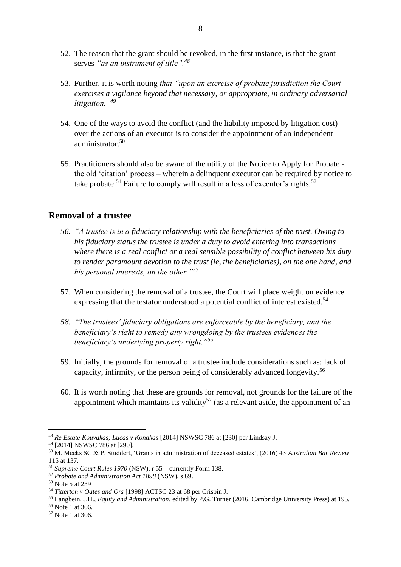- 52. The reason that the grant should be revoked, in the first instance, is that the grant serves *"as an instrument of title".<sup>48</sup>*
- 53. Further, it is worth noting *that "upon an exercise of probate jurisdiction the Court exercises a vigilance beyond that necessary, or appropriate, in ordinary adversarial litigation."<sup>49</sup>*
- 54. One of the ways to avoid the conflict (and the liability imposed by litigation cost) over the actions of an executor is to consider the appointment of an independent administrator.<sup>50</sup>
- 55. Practitioners should also be aware of the utility of the Notice to Apply for Probate the old 'citation' process – wherein a delinquent executor can be required by notice to take probate.<sup>51</sup> Failure to comply will result in a loss of executor's rights.<sup>52</sup>

#### **Removal of a trustee**

- *56. "A trustee is in a fiduciary relationship with the beneficiaries of the trust. Owing to his fiduciary status the trustee is under a duty to avoid entering into transactions where there is a real conflict or a real sensible possibility of conflict between his duty to render paramount devotion to the trust (ie, the beneficiaries), on the one hand, and his personal interests, on the other."<sup>53</sup>*
- 57. When considering the removal of a trustee, the Court will place weight on evidence expressing that the testator understood a potential conflict of interest existed.<sup>54</sup>
- *58. "The trustees' fiduciary obligations are enforceable by the beneficiary, and the beneficiary's right to remedy any wrongdoing by the trustees evidences the beneficiary's underlying property right."<sup>55</sup>*
- 59. Initially, the grounds for removal of a trustee include considerations such as: lack of capacity, infirmity, or the person being of considerably advanced longevity.<sup>56</sup>
- 60. It is worth noting that these are grounds for removal, not grounds for the failure of the appointment which maintains its validity<sup>57</sup> (as a relevant aside, the appointment of an

<sup>48</sup> *Re Estate Kouvakas; Lucas v Konakas* [2014] NSWSC 786 at [230] per Lindsay J.

<sup>49</sup> [2014] NSWSC 786 at [290].

<sup>50</sup> M. Meeks SC & P. Studdert, 'Grants in administration of deceased estates', (2016) 43 *Australian Bar Review*  115 at 137.

<sup>51</sup> *Supreme Court Rules 1970* (NSW), r 55 – currently Form 138.

<sup>52</sup> *Probate and Administration Act 1898* (NSW), s 69.

<sup>53</sup> Note 5 at 239

<sup>54</sup> *Titterton v Oates and Ors* [1998] ACTSC 23 at 68 per Crispin J.

<sup>55</sup> Langbein, J.H., *Equity and Administration*, edited by P.G. Turner (2016, Cambridge University Press) at 195.

<sup>56</sup> Note 1 at 306.

<sup>57</sup> Note 1 at 306.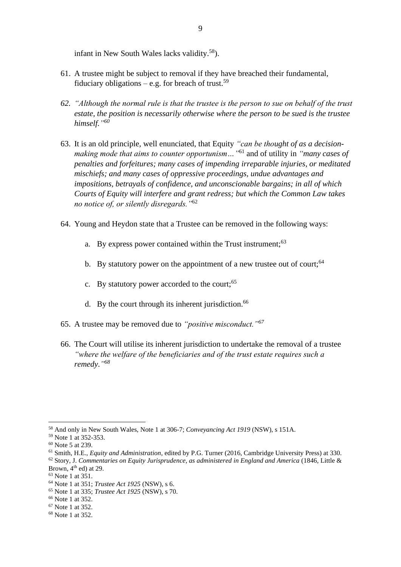infant in New South Wales lacks validity.<sup>58</sup>).

- 61. A trustee might be subject to removal if they have breached their fundamental, fiduciary obligations – e.g. for breach of trust.<sup>59</sup>
- *62. "Although the normal rule is that the trustee is the person to sue on behalf of the trust estate, the position is necessarily otherwise where the person to be sued is the trustee himself." 60*
- 63. It is an old principle, well enunciated, that Equity *"can be thought of as a decisionmaking mode that aims to counter opportunism…"* <sup>61</sup> and of utility in *"many cases of penalties and forfeitures; many cases of impending irreparable injuries, or meditated mischiefs; and many cases of oppressive proceedings, undue advantages and impositions, betrayals of confidence, and unconscionable bargains; in all of which Courts of Equity will interfere and grant redress; but which the Common Law takes no notice of, or silently disregards."*<sup>62</sup>
- 64. Young and Heydon state that a Trustee can be removed in the following ways:
	- a. By express power contained within the Trust instrument:<sup>63</sup>
	- b. By statutory power on the appointment of a new trustee out of court;  $64$
	- c. By statutory power accorded to the court;  $65$
	- d. By the court through its inherent jurisdiction.<sup>66</sup>
- 65. A trustee may be removed due to *"positive misconduct."<sup>67</sup>*
- 66. The Court will utilise its inherent jurisdiction to undertake the removal of a trustee *"where the welfare of the beneficiaries and of the trust estate requires such a remedy*.*" 68*

<sup>58</sup> And only in New South Wales, Note 1 at 306-7; *Conveyancing Act 1919* (NSW), s 151A.

<sup>59</sup> Note 1 at 352-353.

<sup>60</sup> Note 5 at 239.

<sup>61</sup> Smith, H.E., *Equity and Administration*, edited by P.G. Turner (2016, Cambridge University Press) at 330. <sup>62</sup> Story, J. *Commentaries on Equity Jurisprudence, as administered in England and America* (1846, Little & Brown,  $4<sup>th</sup>$  ed) at 29.

<sup>63</sup> Note 1 at 351.

<sup>64</sup> Note 1 at 351; *Trustee Act 1925* (NSW), s 6.

<sup>65</sup> Note 1 at 335; *Trustee Act 1925* (NSW), s 70.

<sup>66</sup> Note 1 at 352.

<sup>67</sup> Note 1 at 352.

<sup>68</sup> Note 1 at 352.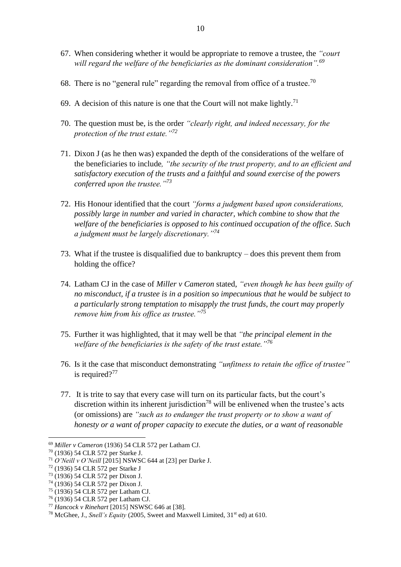- 67. When considering whether it would be appropriate to remove a trustee, the *"court will regard the welfare of the beneficiaries as the dominant consideration".<sup>69</sup>*
- 68. There is no "general rule" regarding the removal from office of a trustee.<sup>70</sup>
- 69. A decision of this nature is one that the Court will not make lightly.<sup>71</sup>
- 70. The question must be, is the order *"clearly right, and indeed necessary, for the protection of the trust estate."<sup>72</sup>*
- 71. Dixon J (as he then was) expanded the depth of the considerations of the welfare of the beneficiaries to include*, "the security of the trust property, and to an efficient and satisfactory execution of the trusts and a faithful and sound exercise of the powers conferred upon the trustee."<sup>73</sup>*
- 72. His Honour identified that the court *"forms a judgment based upon considerations, possibly large in number and varied in character, which combine to show that the welfare of the beneficiaries is opposed to his continued occupation of the office. Such a judgment must be largely discretionary."<sup>74</sup>*
- 73. What if the trustee is disqualified due to bankruptcy does this prevent them from holding the office?
- 74. Latham CJ in the case of *Miller v Cameron* stated, *"even though he has been guilty of no misconduct, if a trustee is in a position so impecunious that he would be subject to a particularly strong temptation to misapply the trust funds, the court may properly remove him from his office as trustee."<sup>75</sup>*
- 75. Further it was highlighted, that it may well be that *"the principal element in the welfare of the beneficiaries is the safety of the trust estate."<sup>76</sup>*
- 76. Is it the case that misconduct demonstrating *"unfitness to retain the office of trustee"* is required?<sup>77</sup>
- 77. It is trite to say that every case will turn on its particular facts, but the court's discretion within its inherent jurisdiction<sup>78</sup> will be enlivened when the trustee's acts (or omissions) are *"such as to endanger the trust property or to show a want of honesty or a want of proper capacity to execute the duties, or a want of reasonable*

<sup>69</sup> *Miller v Cameron* (1936) 54 CLR 572 per Latham CJ.

<sup>70</sup> (1936) 54 CLR 572 per Starke J.

<sup>71</sup> *O'Neill v O'Neill* [2015] NSWSC 644 at [23] per Darke J.

<sup>72</sup> (1936) 54 CLR 572 per Starke J

<sup>73</sup> (1936) 54 CLR 572 per Dixon J.

<sup>74</sup> (1936) 54 CLR 572 per Dixon J.

<sup>75</sup> (1936) 54 CLR 572 per Latham CJ.

<sup>76</sup> (1936) 54 CLR 572 per Latham CJ.

<sup>77</sup> *Hancock v Rinehart* [2015] NSWSC 646 at [38].

<sup>&</sup>lt;sup>78</sup> McGhee, J., *Snell's Equity* (2005, Sweet and Maxwell Limited, 31<sup>st</sup> ed) at 610.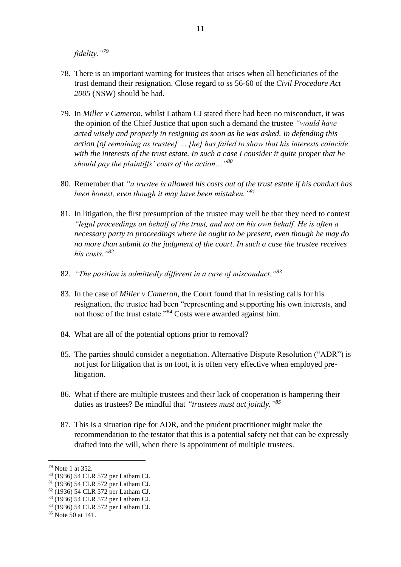*fidelity."<sup>79</sup>*

- 78. There is an important warning for trustees that arises when all beneficiaries of the trust demand their resignation. Close regard to ss 56-60 of the *Civil Procedure Act 2005* (NSW) should be had.
- 79. In *Miller v Cameron*, whilst Latham CJ stated there had been no misconduct, it was the opinion of the Chief Justice that upon such a demand the trustee *"would have acted wisely and properly in resigning as soon as he was asked. In defending this action [of remaining as trustee] … [he] has failed to show that his interests coincide with the interests of the trust estate. In such a case I consider it quite proper that he should pay the plaintiffs' costs of the action…"<sup>80</sup>*
- 80. Remember that *"a trustee is allowed his costs out of the trust estate if his conduct has been honest, even though it may have been mistaken."<sup>81</sup>*
- 81. In litigation, the first presumption of the trustee may well be that they need to contest *"legal proceedings on behalf of the trust, and not on his own behalf. He is often a necessary party to proceedings where he ought to be present, even though he may do no more than submit to the judgment of the court. In such a case the trustee receives his costs."<sup>82</sup>*
- 82. *"The position is admittedly different in a case of misconduct."<sup>83</sup>*
- 83. In the case of *Miller v Cameron*, the Court found that in resisting calls for his resignation, the trustee had been "representing and supporting his own interests, and not those of the trust estate."<sup>84</sup> Costs were awarded against him.
- 84. What are all of the potential options prior to removal?
- 85. The parties should consider a negotiation. Alternative Dispute Resolution ("ADR") is not just for litigation that is on foot, it is often very effective when employed prelitigation.
- 86. What if there are multiple trustees and their lack of cooperation is hampering their duties as trustees? Be mindful that *"trustees must act jointly."<sup>85</sup>*
- 87. This is a situation ripe for ADR, and the prudent practitioner might make the recommendation to the testator that this is a potential safety net that can be expressly drafted into the will, when there is appointment of multiple trustees.

<sup>79</sup> Note 1 at 352.

<sup>80</sup> (1936) 54 CLR 572 per Latham CJ.

<sup>81</sup> (1936) 54 CLR 572 per Latham CJ.

<sup>82</sup> (1936) 54 CLR 572 per Latham CJ.

<sup>83</sup> (1936) 54 CLR 572 per Latham CJ.

<sup>84</sup> (1936) 54 CLR 572 per Latham CJ.

<sup>85</sup> Note 50 at 141.